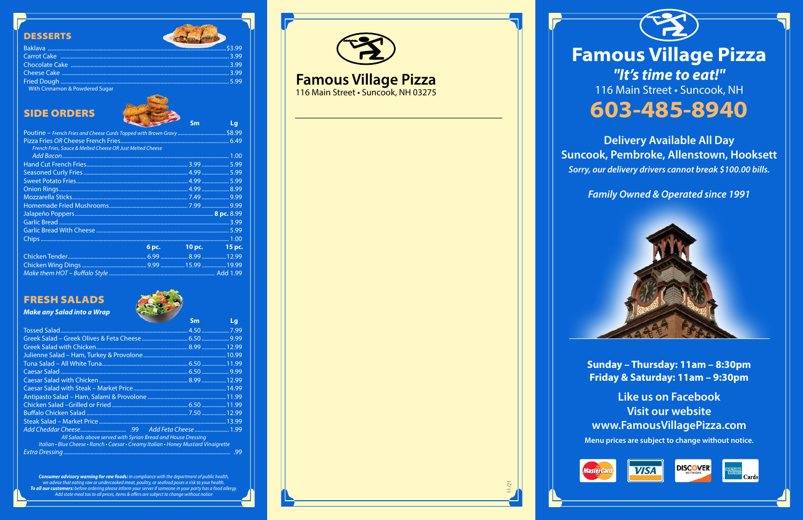# **Famous Village Pizza** *"It's time to eat!"* 116 Main Street · Suncook, NH **603-485-8940**

**Delivery Available All Day Suncook, Pembroke, Allenstown, Hooksett** *Sorry, our delivery drivers cannot break \$100.00 bills.*

*Family Owned & Operated since 1991*

**Sunday – Thursday: 11am – 8:30pm Friday & Saturday: 11am – 9:30pm**

**Like us on Facebook Visit our website www.FamousVillagePizza.com**

**Menu prices are subject to change without notice.**







11/21





# **Famous Village Pizza**

116 Main Street • Suncook, NH 03275







## SIDE ORDERS

|                                                                        | <b>Sm</b>           | Lg |
|------------------------------------------------------------------------|---------------------|----|
| Poutine – French Fries and Cheese Curds Topped with Brown Gravy \$8.99 |                     |    |
|                                                                        |                     |    |
| French Fries, Sauce & Melted Cheese OR Just Melted Cheese              |                     |    |
|                                                                        |                     |    |
|                                                                        |                     |    |
|                                                                        |                     |    |
|                                                                        |                     |    |
|                                                                        |                     |    |
|                                                                        |                     |    |
|                                                                        |                     |    |
|                                                                        |                     |    |
|                                                                        |                     |    |
|                                                                        |                     |    |
|                                                                        |                     |    |
|                                                                        | 6 pc. 10 pc. 15 pc. |    |
|                                                                        |                     |    |
|                                                                        |                     |    |
|                                                                        |                     |    |

## FRESH SALADS

### *Make any Salad into a Wrap*

|                                                                                     | <b>Sm</b> | Lg  |
|-------------------------------------------------------------------------------------|-----------|-----|
|                                                                                     |           |     |
|                                                                                     |           |     |
|                                                                                     |           |     |
|                                                                                     |           |     |
|                                                                                     |           |     |
|                                                                                     |           |     |
|                                                                                     |           |     |
|                                                                                     |           |     |
|                                                                                     |           |     |
|                                                                                     |           |     |
|                                                                                     |           |     |
|                                                                                     |           |     |
|                                                                                     |           |     |
| All Salads above served with Syrian Bread and House Dressing                        |           |     |
| Italian • Blue Cheese • Ranch • Caesar • Creamy Italian • Honey Mustard Vinaigrette |           |     |
|                                                                                     |           | .99 |

### **DESSERTS**

| With Cinnamon & Powdered Sugar |  |
|--------------------------------|--|

otalente

*Consumer advisory warning for raw foods: in compliance with the department of public health, we advise that eating raw or undercooked meat, poultry, or seafood poses a risk to your health. To all our customers: before ordering please inform your server if someone in your party has a food allergy. Add state meal tax to all prices, items & offers are subject to change without notice*